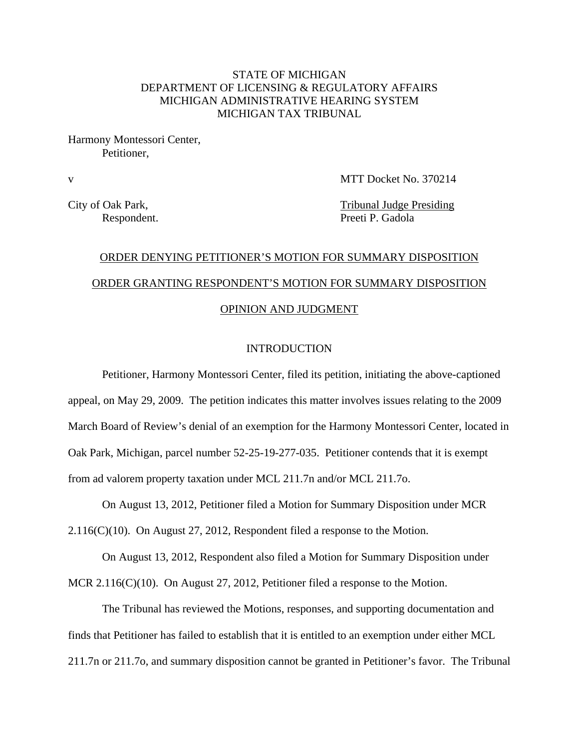# STATE OF MICHIGAN DEPARTMENT OF LICENSING & REGULATORY AFFAIRS MICHIGAN ADMINISTRATIVE HEARING SYSTEM MICHIGAN TAX TRIBUNAL

Harmony Montessori Center, Petitioner,

v MTT Docket No. 370214

City of Oak Park, Tribunal Judge Presiding Respondent. Preeti P. Gadola

# ORDER DENYING PETITIONER'S MOTION FOR SUMMARY DISPOSITION ORDER GRANTING RESPONDENT'S MOTION FOR SUMMARY DISPOSITION OPINION AND JUDGMENT

# INTRODUCTION

Petitioner, Harmony Montessori Center, filed its petition, initiating the above-captioned appeal, on May 29, 2009. The petition indicates this matter involves issues relating to the 2009 March Board of Review's denial of an exemption for the Harmony Montessori Center, located in Oak Park, Michigan, parcel number 52-25-19-277-035. Petitioner contends that it is exempt from ad valorem property taxation under MCL 211.7n and/or MCL 211.7o.

On August 13, 2012, Petitioner filed a Motion for Summary Disposition under MCR

 $2.116(C)(10)$ . On August 27, 2012, Respondent filed a response to the Motion.

On August 13, 2012, Respondent also filed a Motion for Summary Disposition under MCR 2.116(C)(10). On August 27, 2012, Petitioner filed a response to the Motion.

The Tribunal has reviewed the Motions, responses, and supporting documentation and finds that Petitioner has failed to establish that it is entitled to an exemption under either MCL 211.7n or 211.7o, and summary disposition cannot be granted in Petitioner's favor. The Tribunal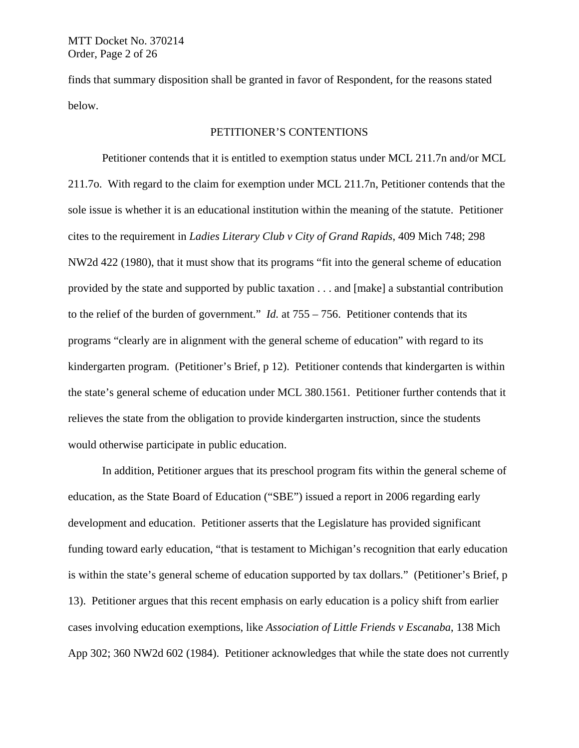finds that summary disposition shall be granted in favor of Respondent, for the reasons stated below.

## PETITIONER'S CONTENTIONS

Petitioner contends that it is entitled to exemption status under MCL 211.7n and/or MCL 211.7o. With regard to the claim for exemption under MCL 211.7n, Petitioner contends that the sole issue is whether it is an educational institution within the meaning of the statute. Petitioner cites to the requirement in *Ladies Literary Club v City of Grand Rapids*, 409 Mich 748; 298 NW2d 422 (1980), that it must show that its programs "fit into the general scheme of education provided by the state and supported by public taxation . . . and [make] a substantial contribution to the relief of the burden of government." *Id.* at 755 – 756. Petitioner contends that its programs "clearly are in alignment with the general scheme of education" with regard to its kindergarten program. (Petitioner's Brief, p 12). Petitioner contends that kindergarten is within the state's general scheme of education under MCL 380.1561. Petitioner further contends that it relieves the state from the obligation to provide kindergarten instruction, since the students would otherwise participate in public education.

In addition, Petitioner argues that its preschool program fits within the general scheme of education, as the State Board of Education ("SBE") issued a report in 2006 regarding early development and education. Petitioner asserts that the Legislature has provided significant funding toward early education, "that is testament to Michigan's recognition that early education is within the state's general scheme of education supported by tax dollars." (Petitioner's Brief, p 13). Petitioner argues that this recent emphasis on early education is a policy shift from earlier cases involving education exemptions, like *Association of Little Friends v Escanaba*, 138 Mich App 302; 360 NW2d 602 (1984). Petitioner acknowledges that while the state does not currently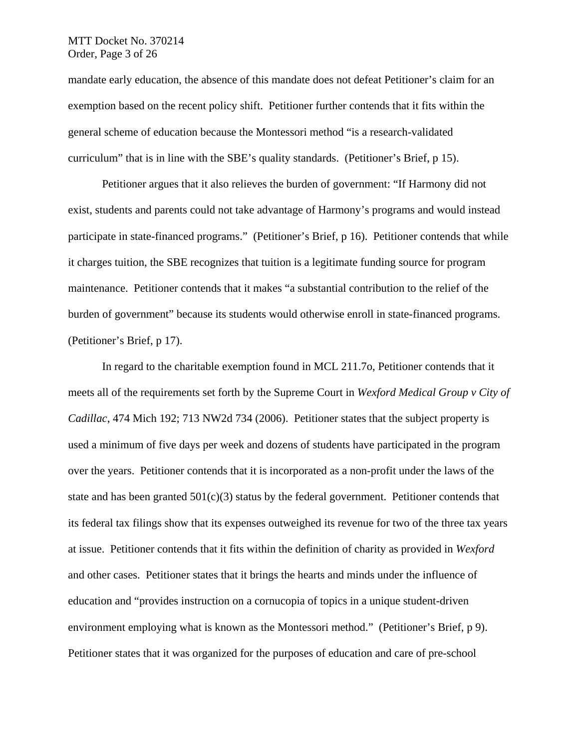## MTT Docket No. 370214 Order, Page 3 of 26

mandate early education, the absence of this mandate does not defeat Petitioner's claim for an exemption based on the recent policy shift. Petitioner further contends that it fits within the general scheme of education because the Montessori method "is a research-validated curriculum" that is in line with the SBE's quality standards. (Petitioner's Brief, p 15).

Petitioner argues that it also relieves the burden of government: "If Harmony did not exist, students and parents could not take advantage of Harmony's programs and would instead participate in state-financed programs." (Petitioner's Brief, p 16). Petitioner contends that while it charges tuition, the SBE recognizes that tuition is a legitimate funding source for program maintenance. Petitioner contends that it makes "a substantial contribution to the relief of the burden of government" because its students would otherwise enroll in state-financed programs. (Petitioner's Brief, p 17).

In regard to the charitable exemption found in MCL 211.7o, Petitioner contends that it meets all of the requirements set forth by the Supreme Court in *Wexford Medical Group v City of Cadillac*, 474 Mich 192; 713 NW2d 734 (2006). Petitioner states that the subject property is used a minimum of five days per week and dozens of students have participated in the program over the years. Petitioner contends that it is incorporated as a non-profit under the laws of the state and has been granted  $501(c)(3)$  status by the federal government. Petitioner contends that its federal tax filings show that its expenses outweighed its revenue for two of the three tax years at issue. Petitioner contends that it fits within the definition of charity as provided in *Wexford* and other cases. Petitioner states that it brings the hearts and minds under the influence of education and "provides instruction on a cornucopia of topics in a unique student-driven environment employing what is known as the Montessori method." (Petitioner's Brief, p 9). Petitioner states that it was organized for the purposes of education and care of pre-school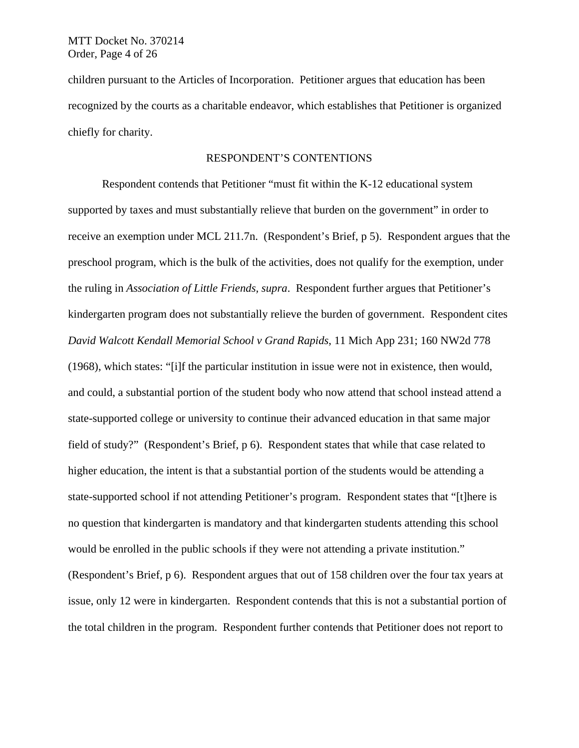children pursuant to the Articles of Incorporation. Petitioner argues that education has been recognized by the courts as a charitable endeavor, which establishes that Petitioner is organized chiefly for charity.

## RESPONDENT'S CONTENTIONS

Respondent contends that Petitioner "must fit within the K-12 educational system supported by taxes and must substantially relieve that burden on the government" in order to receive an exemption under MCL 211.7n. (Respondent's Brief, p 5). Respondent argues that the preschool program, which is the bulk of the activities, does not qualify for the exemption, under the ruling in *Association of Little Friends, supra*. Respondent further argues that Petitioner's kindergarten program does not substantially relieve the burden of government. Respondent cites *David Walcott Kendall Memorial School v Grand Rapids*, 11 Mich App 231; 160 NW2d 778 (1968), which states: "[i]f the particular institution in issue were not in existence, then would, and could, a substantial portion of the student body who now attend that school instead attend a state-supported college or university to continue their advanced education in that same major field of study?" (Respondent's Brief, p 6). Respondent states that while that case related to higher education, the intent is that a substantial portion of the students would be attending a state-supported school if not attending Petitioner's program. Respondent states that "[t]here is no question that kindergarten is mandatory and that kindergarten students attending this school would be enrolled in the public schools if they were not attending a private institution." (Respondent's Brief, p 6). Respondent argues that out of 158 children over the four tax years at issue, only 12 were in kindergarten. Respondent contends that this is not a substantial portion of the total children in the program. Respondent further contends that Petitioner does not report to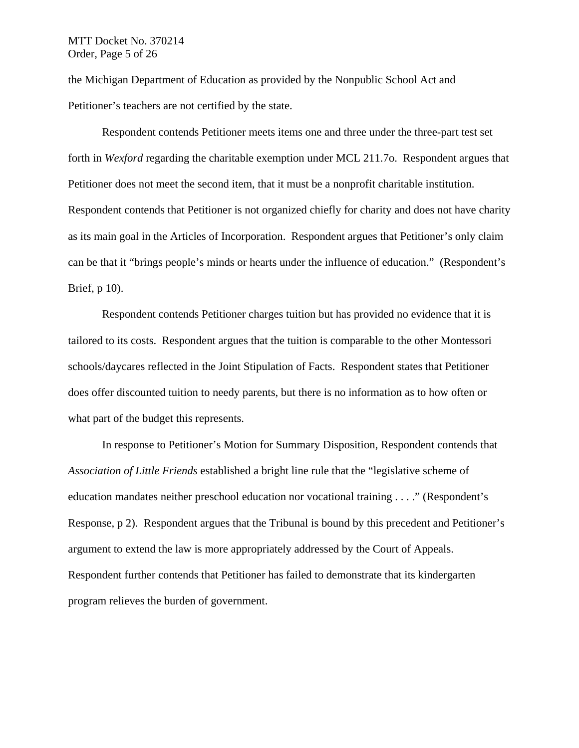### MTT Docket No. 370214 Order, Page 5 of 26

the Michigan Department of Education as provided by the Nonpublic School Act and Petitioner's teachers are not certified by the state.

Respondent contends Petitioner meets items one and three under the three-part test set forth in *Wexford* regarding the charitable exemption under MCL 211.7o. Respondent argues that Petitioner does not meet the second item, that it must be a nonprofit charitable institution. Respondent contends that Petitioner is not organized chiefly for charity and does not have charity as its main goal in the Articles of Incorporation. Respondent argues that Petitioner's only claim can be that it "brings people's minds or hearts under the influence of education." (Respondent's Brief, p 10).

Respondent contends Petitioner charges tuition but has provided no evidence that it is tailored to its costs. Respondent argues that the tuition is comparable to the other Montessori schools/daycares reflected in the Joint Stipulation of Facts. Respondent states that Petitioner does offer discounted tuition to needy parents, but there is no information as to how often or what part of the budget this represents.

In response to Petitioner's Motion for Summary Disposition, Respondent contends that *Association of Little Friends* established a bright line rule that the "legislative scheme of education mandates neither preschool education nor vocational training . . . ." (Respondent's Response, p 2). Respondent argues that the Tribunal is bound by this precedent and Petitioner's argument to extend the law is more appropriately addressed by the Court of Appeals. Respondent further contends that Petitioner has failed to demonstrate that its kindergarten program relieves the burden of government.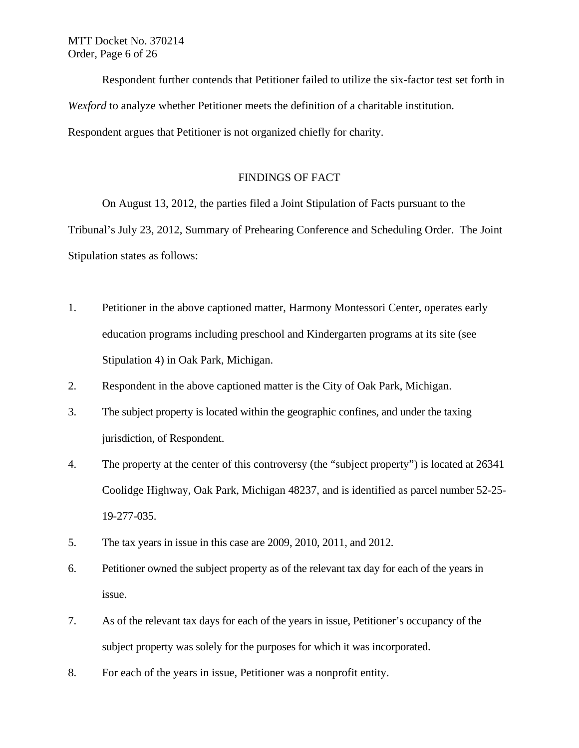Respondent further contends that Petitioner failed to utilize the six-factor test set forth in *Wexford* to analyze whether Petitioner meets the definition of a charitable institution. Respondent argues that Petitioner is not organized chiefly for charity.

# FINDINGS OF FACT

On August 13, 2012, the parties filed a Joint Stipulation of Facts pursuant to the

Tribunal's July 23, 2012, Summary of Prehearing Conference and Scheduling Order. The Joint Stipulation states as follows:

- 1. Petitioner in the above captioned matter, Harmony Montessori Center, operates early education programs including preschool and Kindergarten programs at its site (see Stipulation 4) in Oak Park, Michigan.
- 2. Respondent in the above captioned matter is the City of Oak Park, Michigan.
- 3. The subject property is located within the geographic confines, and under the taxing jurisdiction, of Respondent.
- 4. The property at the center of this controversy (the "subject property") is located at 26341 Coolidge Highway, Oak Park, Michigan 48237, and is identified as parcel number 52-25- 19-277-035.
- 5. The tax years in issue in this case are 2009, 2010, 2011, and 2012.
- 6. Petitioner owned the subject property as of the relevant tax day for each of the years in issue.
- 7. As of the relevant tax days for each of the years in issue, Petitioner's occupancy of the subject property was solely for the purposes for which it was incorporated.
- 8. For each of the years in issue, Petitioner was a nonprofit entity.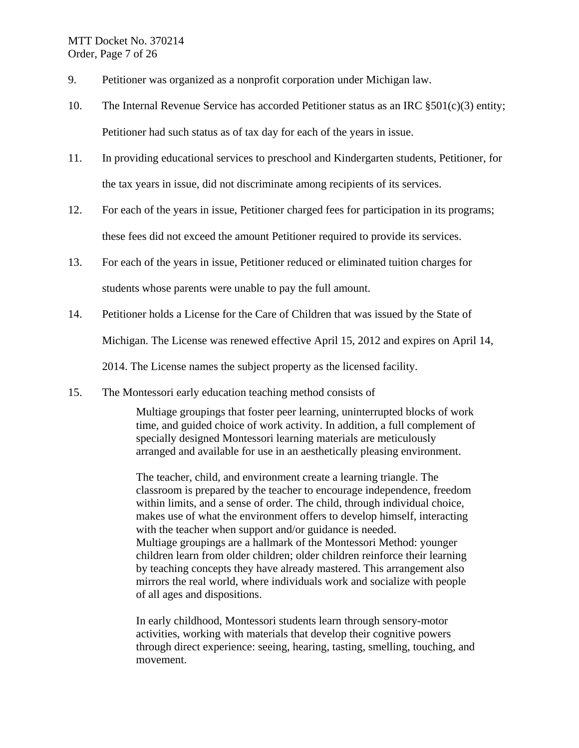- 9. Petitioner was organized as a nonprofit corporation under Michigan law.
- 10. The Internal Revenue Service has accorded Petitioner status as an IRC §501(c)(3) entity; Petitioner had such status as of tax day for each of the years in issue.
- 11. In providing educational services to preschool and Kindergarten students, Petitioner, for the tax years in issue, did not discriminate among recipients of its services.
- 12. For each of the years in issue, Petitioner charged fees for participation in its programs; these fees did not exceed the amount Petitioner required to provide its services.
- 13. For each of the years in issue, Petitioner reduced or eliminated tuition charges for students whose parents were unable to pay the full amount.
- 14. Petitioner holds a License for the Care of Children that was issued by the State of Michigan. The License was renewed effective April 15, 2012 and expires on April 14, 2014. The License names the subject property as the licensed facility.
- 15. The Montessori early education teaching method consists of

Multiage groupings that foster peer learning, uninterrupted blocks of work time, and guided choice of work activity. In addition, a full complement of specially designed Montessori learning materials are meticulously arranged and available for use in an aesthetically pleasing environment.

The teacher, child, and environment create a learning triangle. The classroom is prepared by the teacher to encourage independence, freedom within limits, and a sense of order. The child, through individual choice, makes use of what the environment offers to develop himself, interacting with the teacher when support and/or guidance is needed. Multiage groupings are a hallmark of the Montessori Method: younger children learn from older children; older children reinforce their learning by teaching concepts they have already mastered. This arrangement also mirrors the real world, where individuals work and socialize with people of all ages and dispositions.

In early childhood, Montessori students learn through sensory-motor activities, working with materials that develop their cognitive powers through direct experience: seeing, hearing, tasting, smelling, touching, and movement.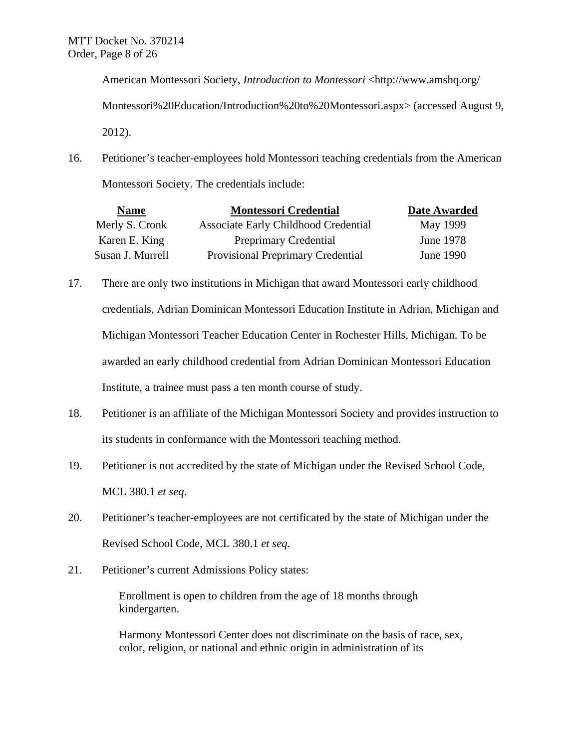American Montessori Society, *Introduction to Montessori* <http://www.amshq.org/ Montessori%20Education/Introduction%20to%20Montessori.aspx> (accessed August 9, 2012).

16. Petitioner's teacher-employees hold Montessori teaching credentials from the American Montessori Society. The credentials include:

| <b>Name</b>      | <b>Montessori Credential</b>             | Date Awarded    |
|------------------|------------------------------------------|-----------------|
| Merly S. Cronk   | Associate Early Childhood Credential     | <b>May 1999</b> |
| Karen E. King    | <b>Preprimary Credential</b>             | June 1978       |
| Susan J. Murrell | <b>Provisional Preprimary Credential</b> | June 1990       |

- 17. There are only two institutions in Michigan that award Montessori early childhood credentials, Adrian Dominican Montessori Education Institute in Adrian, Michigan and Michigan Montessori Teacher Education Center in Rochester Hills, Michigan. To be awarded an early childhood credential from Adrian Dominican Montessori Education Institute, a trainee must pass a ten month course of study.
- 18. Petitioner is an affiliate of the Michigan Montessori Society and provides instruction to its students in conformance with the Montessori teaching method.
- 19. Petitioner is not accredited by the state of Michigan under the Revised School Code, MCL 380.1 *et seq*.
- 20. Petitioner's teacher-employees are not certificated by the state of Michigan under the Revised School Code, MCL 380.1 *et seq.*
- 21. Petitioner's current Admissions Policy states:

Enrollment is open to children from the age of 18 months through kindergarten.

Harmony Montessori Center does not discriminate on the basis of race, sex, color, religion, or national and ethnic origin in administration of its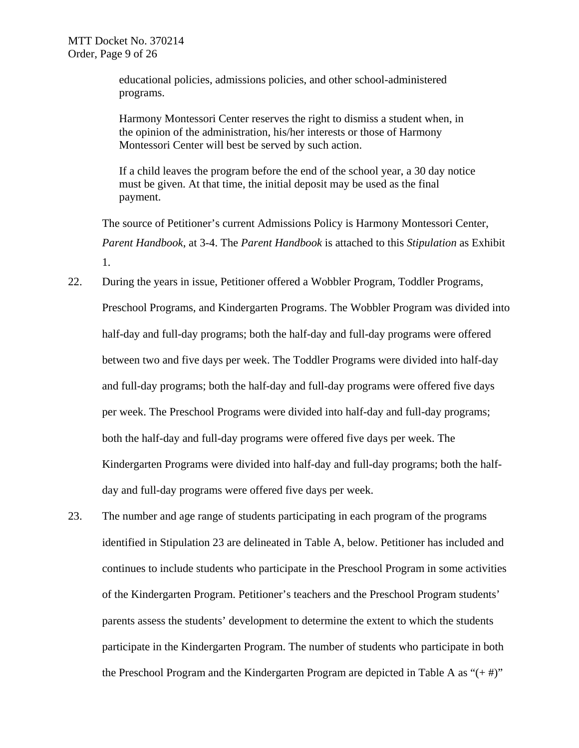educational policies, admissions policies, and other school-administered programs.

Harmony Montessori Center reserves the right to dismiss a student when, in the opinion of the administration, his/her interests or those of Harmony Montessori Center will best be served by such action.

If a child leaves the program before the end of the school year, a 30 day notice must be given. At that time, the initial deposit may be used as the final payment.

The source of Petitioner's current Admissions Policy is Harmony Montessori Center, *Parent Handbook*, at 3-4. The *Parent Handbook* is attached to this *Stipulation* as Exhibit 1.

- 22. During the years in issue, Petitioner offered a Wobbler Program, Toddler Programs, Preschool Programs, and Kindergarten Programs. The Wobbler Program was divided into half-day and full-day programs; both the half-day and full-day programs were offered between two and five days per week. The Toddler Programs were divided into half-day and full-day programs; both the half-day and full-day programs were offered five days per week. The Preschool Programs were divided into half-day and full-day programs; both the half-day and full-day programs were offered five days per week. The Kindergarten Programs were divided into half-day and full-day programs; both the halfday and full-day programs were offered five days per week.
- 23. The number and age range of students participating in each program of the programs identified in Stipulation 23 are delineated in Table A, below. Petitioner has included and continues to include students who participate in the Preschool Program in some activities of the Kindergarten Program. Petitioner's teachers and the Preschool Program students' parents assess the students' development to determine the extent to which the students participate in the Kindergarten Program. The number of students who participate in both the Preschool Program and the Kindergarten Program are depicted in Table A as " $(+\#)$ "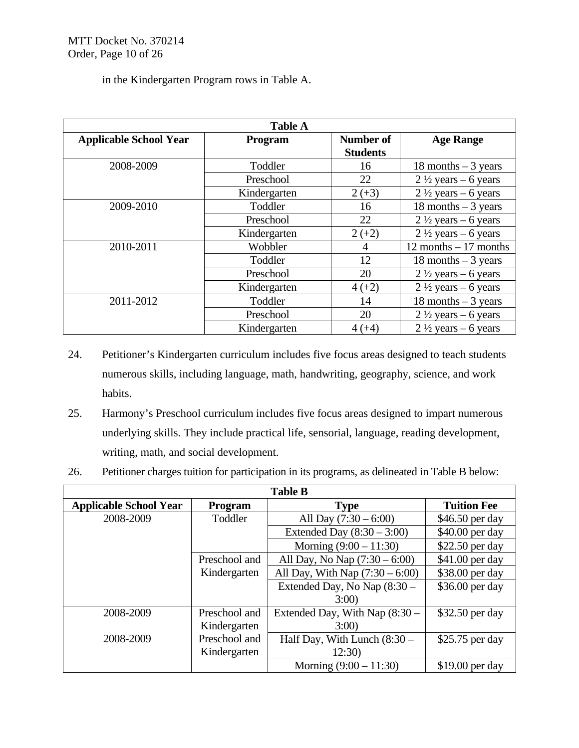| in the Kindergarten Program rows in Table A. |  |  |  |  |  |  |
|----------------------------------------------|--|--|--|--|--|--|
|----------------------------------------------|--|--|--|--|--|--|

| <b>Table A</b>                |                |                              |                                |  |
|-------------------------------|----------------|------------------------------|--------------------------------|--|
| <b>Applicable School Year</b> | <b>Program</b> | Number of<br><b>Students</b> | <b>Age Range</b>               |  |
| 2008-2009                     | Toddler        | 16                           | 18 months $-3$ years           |  |
|                               | Preschool      | 22                           | $2\frac{1}{2}$ years – 6 years |  |
|                               | Kindergarten   | $2 (+3)$                     | $2\frac{1}{2}$ years – 6 years |  |
| 2009-2010                     | Toddler        | 16                           | 18 months $-3$ years           |  |
|                               | Preschool      | 22                           | $2\frac{1}{2}$ years – 6 years |  |
|                               | Kindergarten   | $2 (+2)$                     | $2\frac{1}{2}$ years – 6 years |  |
| 2010-2011                     | Wobbler        | 4                            | $12$ months $-17$ months       |  |
|                               | Toddler        | 12                           | 18 months $-3$ years           |  |
|                               | Preschool      | 20                           | $2\frac{1}{2}$ years – 6 years |  |
|                               | Kindergarten   | $4(+2)$                      | $2\frac{1}{2}$ years – 6 years |  |
| 2011-2012                     | Toddler        | 14                           | 18 months $-3$ years           |  |
|                               | Preschool      | 20                           | $2\frac{1}{2}$ years – 6 years |  |
|                               | Kindergarten   | $4(+4)$                      | $2\frac{1}{2}$ years – 6 years |  |

- 24. Petitioner's Kindergarten curriculum includes five focus areas designed to teach students numerous skills, including language, math, handwriting, geography, science, and work habits.
- 25. Harmony's Preschool curriculum includes five focus areas designed to impart numerous underlying skills. They include practical life, sensorial, language, reading development, writing, math, and social development.
- 26. Petitioner charges tuition for participation in its programs, as delineated in Table B below:

| <b>Table B</b>                |               |                                   |                    |  |
|-------------------------------|---------------|-----------------------------------|--------------------|--|
| <b>Applicable School Year</b> | Program       | <b>Type</b>                       | <b>Tuition Fee</b> |  |
| 2008-2009                     | Toddler       | All Day $(7:30 - 6:00)$           | \$46.50 per day    |  |
|                               |               | Extended Day $(8:30 - 3:00)$      | \$40.00 per day    |  |
|                               |               | Morning $(9:00 - 11:30)$          | \$22.50 per day    |  |
|                               | Preschool and | All Day, No Nap $(7:30 - 6:00)$   | \$41.00 per day    |  |
|                               | Kindergarten  | All Day, With Nap $(7:30 - 6:00)$ | \$38.00 per day    |  |
|                               |               | Extended Day, No Nap (8:30 -      | \$36.00 per day    |  |
|                               |               | 3:00                              |                    |  |
| 2008-2009                     | Preschool and | Extended Day, With Nap (8:30 –    | \$32.50 per day    |  |
|                               | Kindergarten  | 3:00                              |                    |  |
| 2008-2009                     | Preschool and | Half Day, With Lunch (8:30 -      | \$25.75 per day    |  |
|                               | Kindergarten  | 12:30                             |                    |  |
|                               |               | Morning $(9:00 - 11:30)$          | $$19.00$ per day   |  |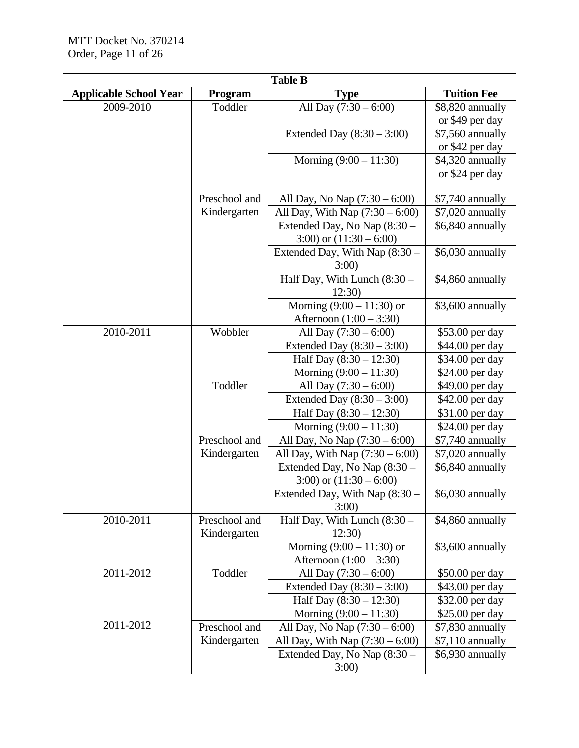| <b>Table B</b>                |                |                                   |                    |  |
|-------------------------------|----------------|-----------------------------------|--------------------|--|
| <b>Applicable School Year</b> | <b>Program</b> | <b>Type</b>                       | <b>Tuition Fee</b> |  |
| 2009-2010                     | Toddler        | All Day $(7:30 - 6:00)$           | \$8,820 annually   |  |
|                               |                |                                   | or \$49 per day    |  |
|                               |                | Extended Day $(8:30 - 3:00)$      | \$7,560 annually   |  |
|                               |                |                                   | or \$42 per day    |  |
|                               |                | Morning $(9:00 - 11:30)$          | \$4,320 annually   |  |
|                               |                |                                   | or \$24 per day    |  |
|                               |                |                                   |                    |  |
|                               | Preschool and  | All Day, No Nap $(7:30 - 6:00)$   | \$7,740 annually   |  |
|                               | Kindergarten   | All Day, With Nap $(7:30 - 6:00)$ | \$7,020 annually   |  |
|                               |                | Extended Day, No Nap (8:30 -      | \$6,840 annually   |  |
|                               |                | 3:00) or $(11:30 - 6:00)$         |                    |  |
|                               |                | Extended Day, With Nap $(8:30 -$  | \$6,030 annually   |  |
|                               |                | 3:00                              |                    |  |
|                               |                | Half Day, With Lunch (8:30 -      | \$4,860 annually   |  |
|                               |                | 12:30                             |                    |  |
|                               |                | Morning $(9:00 - 11:30)$ or       | \$3,600 annually   |  |
|                               |                | Afternoon $(1:00 - 3:30)$         |                    |  |
| 2010-2011                     | Wobbler        | All Day $(7:30 - 6:00)$           | \$53.00 per day    |  |
|                               |                | Extended Day $(8:30 - 3:00)$      | \$44.00 per day    |  |
|                               |                | Half Day $(8:30 - 12:30)$         | \$34.00 per day    |  |
|                               |                | Morning $(9:00 - 11:30)$          | \$24.00 per day    |  |
|                               | Toddler        | All Day $(7:30 - 6:00)$           | \$49.00 per day    |  |
|                               |                | Extended Day $(8:30 - 3:00)$      | \$42.00 per day    |  |
|                               |                | Half Day $(8:30 - 12:30)$         | \$31.00 per day    |  |
|                               |                | Morning $(9:00 - 11:30)$          | \$24.00 per day    |  |
|                               | Preschool and  | All Day, No Nap $(7:30 - 6:00)$   | \$7,740 annually   |  |
|                               | Kindergarten   | All Day, With Nap $(7:30 - 6:00)$ | \$7,020 annually   |  |
|                               |                | Extended Day, No Nap (8:30 -      | \$6,840 annually   |  |
|                               |                | 3:00) or $(11:30 - 6:00)$         |                    |  |
|                               |                | Extended Day, With Nap $(8:30 -$  | \$6,030 annually   |  |
|                               |                | 3:00                              |                    |  |
| 2010-2011                     | Preschool and  | Half Day, With Lunch (8:30 -      | \$4,860 annually   |  |
|                               | Kindergarten   | 12:30)                            |                    |  |
|                               |                | Morning $(9:00 - 11:30)$ or       | \$3,600 annually   |  |
|                               |                | Afternoon $(1:00 - 3:30)$         |                    |  |
| 2011-2012                     | Toddler        | All Day $(7:30 - 6:00)$           | \$50.00 per day    |  |
|                               |                | Extended Day $(8:30 - 3:00)$      | \$43.00 per day    |  |
|                               |                | Half Day (8:30 - 12:30)           | \$32.00 per day    |  |
|                               |                | Morning $(9:00 - 11:30)$          | \$25.00 per day    |  |
| 2011-2012                     | Preschool and  | All Day, No Nap $(7:30 - 6:00)$   | \$7,830 annually   |  |
|                               | Kindergarten   | All Day, With Nap $(7:30 - 6:00)$ | \$7,110 annually   |  |
|                               |                | Extended Day, No Nap (8:30 -      | \$6,930 annually   |  |
|                               |                | 3:00                              |                    |  |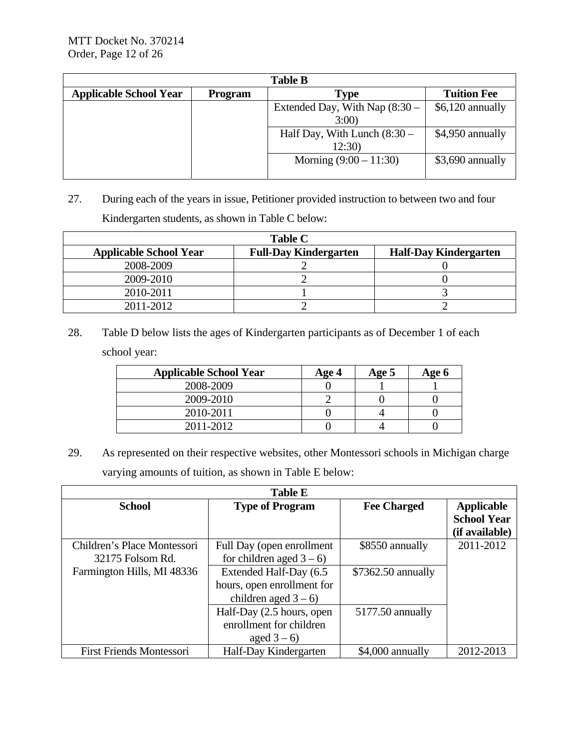| <b>Table B</b>                |                |                                  |                    |  |
|-------------------------------|----------------|----------------------------------|--------------------|--|
| <b>Applicable School Year</b> | <b>Program</b> | <b>Type</b>                      | <b>Tuition Fee</b> |  |
|                               |                | Extended Day, With Nap $(8:30 -$ | $$6,120$ annually  |  |
|                               |                | 3:00                             |                    |  |
|                               |                | Half Day, With Lunch $(8:30 -$   | \$4,950 annually   |  |
|                               |                | 12:30)                           |                    |  |
|                               |                | Morning $(9:00 - 11:30)$         | \$3,690 annually   |  |
|                               |                |                                  |                    |  |

27. During each of the years in issue, Petitioner provided instruction to between two and four Kindergarten students, as shown in Table C below:

| <b>Table C</b>                |                              |                              |  |  |
|-------------------------------|------------------------------|------------------------------|--|--|
| <b>Applicable School Year</b> | <b>Full-Day Kindergarten</b> | <b>Half-Day Kindergarten</b> |  |  |
| 2008-2009                     |                              |                              |  |  |
| 2009-2010                     |                              |                              |  |  |
| 2010-2011                     |                              |                              |  |  |
| 2011-2012                     |                              |                              |  |  |

28. Table D below lists the ages of Kindergarten participants as of December 1 of each school year:

| <b>Applicable School Year</b> | Age 4 | Age 5 | Age 6 |
|-------------------------------|-------|-------|-------|
| 2008-2009                     |       |       |       |
| 2009-2010                     |       |       |       |
| 2010-2011                     |       |       |       |
| 2011-2012                     |       |       |       |

29. As represented on their respective websites, other Montessori schools in Michigan charge varying amounts of tuition, as shown in Table E below:

|                                                 | <b>Table E</b>                                                                |                    |                                                           |
|-------------------------------------------------|-------------------------------------------------------------------------------|--------------------|-----------------------------------------------------------|
| <b>School</b>                                   | <b>Type of Program</b>                                                        | <b>Fee Charged</b> | <b>Applicable</b><br><b>School Year</b><br>(if available) |
| Children's Place Montessori<br>32175 Folsom Rd. | Full Day (open enrollment<br>for children aged $3-6$ )                        | \$8550 annually    | 2011-2012                                                 |
| Farmington Hills, MI 48336                      | Extended Half-Day (6.5<br>hours, open enrollment for<br>children aged $3-6$ ) | \$7362.50 annually |                                                           |
|                                                 | Half-Day (2.5 hours, open<br>enrollment for children<br>aged $3-6$ )          | 5177.50 annually   |                                                           |
| <b>First Friends Montessori</b>                 | Half-Day Kindergarten                                                         | \$4,000 annually   | 2012-2013                                                 |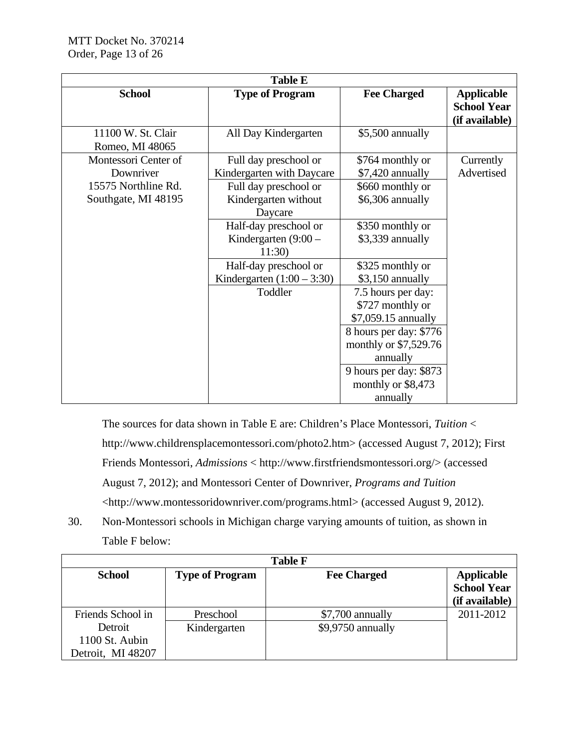|                                            | <b>Table E</b>                                           |                                                               |                                                           |
|--------------------------------------------|----------------------------------------------------------|---------------------------------------------------------------|-----------------------------------------------------------|
| <b>School</b>                              | <b>Type of Program</b>                                   | <b>Fee Charged</b>                                            | <b>Applicable</b><br><b>School Year</b><br>(if available) |
| 11100 W. St. Clair<br>Romeo, MI 48065      | All Day Kindergarten                                     | \$5,500 annually                                              |                                                           |
| Montessori Center of<br>Downriver          | Full day preschool or<br>Kindergarten with Daycare       | \$764 monthly or<br>\$7,420 annually                          | Currently<br>Advertised                                   |
| 15575 Northline Rd.<br>Southgate, MI 48195 | Full day preschool or<br>Kindergarten without<br>Daycare | \$660 monthly or<br>\$6,306 annually                          |                                                           |
|                                            | Half-day preschool or<br>Kindergarten $(9:00 -$<br>11:30 | \$350 monthly or<br>\$3,339 annually                          |                                                           |
|                                            | Half-day preschool or<br>Kindergarten $(1:00 - 3:30)$    | \$325 monthly or<br>\$3,150 annually                          |                                                           |
|                                            | Toddler                                                  | 7.5 hours per day:<br>\$727 monthly or<br>\$7,059.15 annually |                                                           |
|                                            |                                                          | 8 hours per day: \$776<br>monthly or \$7,529.76<br>annually   |                                                           |
|                                            |                                                          | 9 hours per day: \$873<br>monthly or \$8,473<br>annually      |                                                           |

The sources for data shown in Table E are: Children's Place Montessori, *Tuition* < http://www.childrensplacemontessori.com/photo2.htm> (accessed August 7, 2012); First Friends Montessori, *Admissions* < http://www.firstfriendsmontessori.org/> (accessed August 7, 2012); and Montessori Center of Downriver, *Programs and Tuition* <http://www.montessoridownriver.com/programs.html> (accessed August 9, 2012).

30. Non-Montessori schools in Michigan charge varying amounts of tuition, as shown in Table F below:

| <b>Table F</b>    |                        |                    |                    |  |
|-------------------|------------------------|--------------------|--------------------|--|
| <b>School</b>     | <b>Type of Program</b> | <b>Fee Charged</b> | <b>Applicable</b>  |  |
|                   |                        |                    | <b>School Year</b> |  |
|                   |                        |                    | (if available)     |  |
| Friends School in | Preschool              | \$7,700 annually   | 2011-2012          |  |
| Detroit           | Kindergarten           | \$9,9750 annually  |                    |  |
| 1100 St. Aubin    |                        |                    |                    |  |
| Detroit, MI 48207 |                        |                    |                    |  |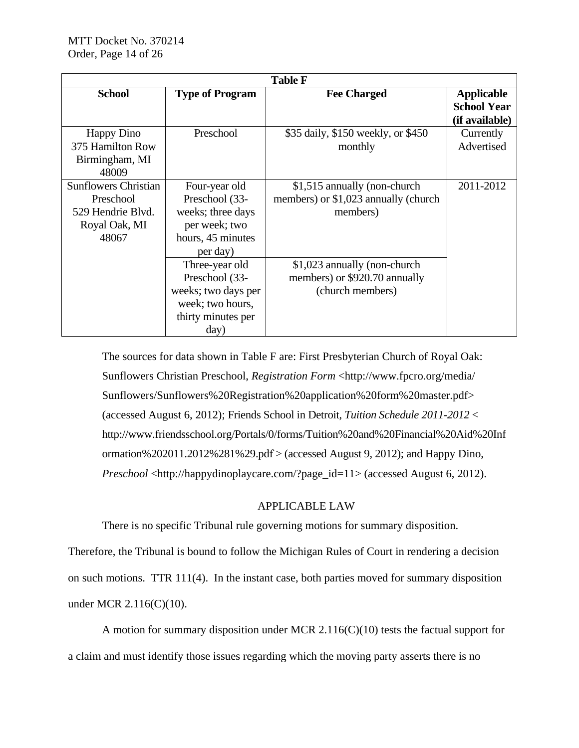| <b>Table F</b>                                                                          |                                                                                                           |                                                                                   |                                                           |
|-----------------------------------------------------------------------------------------|-----------------------------------------------------------------------------------------------------------|-----------------------------------------------------------------------------------|-----------------------------------------------------------|
| <b>School</b>                                                                           | <b>Type of Program</b>                                                                                    | <b>Fee Charged</b>                                                                | <b>Applicable</b><br><b>School Year</b><br>(if available) |
| <b>Happy Dino</b><br>375 Hamilton Row<br>Birmingham, MI<br>48009                        | Preschool                                                                                                 | \$35 daily, \$150 weekly, or \$450<br>monthly                                     | Currently<br>Advertised                                   |
| <b>Sunflowers Christian</b><br>Preschool<br>529 Hendrie Blyd.<br>Royal Oak, MI<br>48067 | Four-year old<br>Preschool (33-<br>weeks; three days<br>per week; two<br>hours, 45 minutes<br>per day)    | \$1,515 annually (non-church<br>members) or \$1,023 annually (church<br>members)  | 2011-2012                                                 |
|                                                                                         | Three-year old<br>Preschool (33-<br>weeks; two days per<br>week; two hours,<br>thirty minutes per<br>day) | \$1,023 annually (non-church<br>members) or \$920.70 annually<br>(church members) |                                                           |

The sources for data shown in Table F are: First Presbyterian Church of Royal Oak: Sunflowers Christian Preschool, *Registration Form* <http://www.fpcro.org/media/ Sunflowers/Sunflowers%20Registration%20application%20form%20master.pdf> (accessed August 6, 2012); Friends School in Detroit, *Tuition Schedule 2011-2012* < http://www.friendsschool.org/Portals/0/forms/Tuition%20and%20Financial%20Aid%20Inf ormation%202011.2012%281%29.pdf > (accessed August 9, 2012); and Happy Dino, *Preschool* <http://happydinoplaycare.com/?page\_id=11> (accessed August 6, 2012).

# APPLICABLE LAW

There is no specific Tribunal rule governing motions for summary disposition.

Therefore, the Tribunal is bound to follow the Michigan Rules of Court in rendering a decision on such motions. TTR 111(4). In the instant case, both parties moved for summary disposition under MCR 2.116(C)(10).

A motion for summary disposition under MCR 2.116(C)(10) tests the factual support for a claim and must identify those issues regarding which the moving party asserts there is no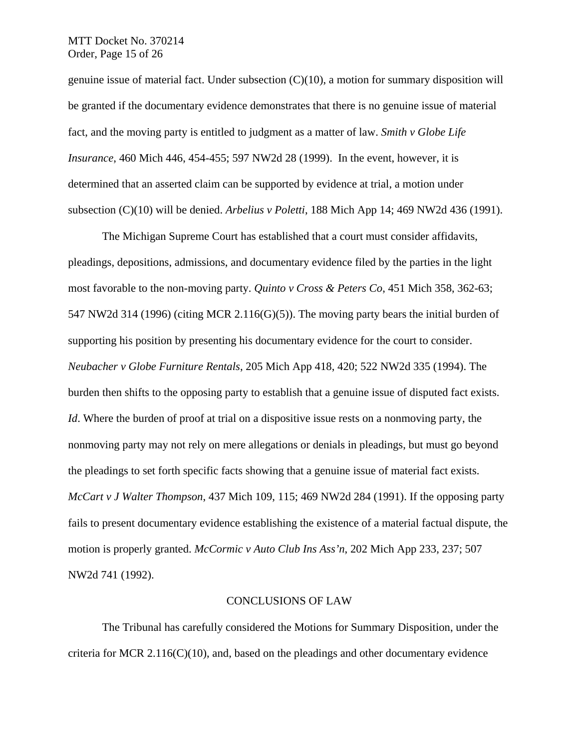## MTT Docket No. 370214 Order, Page 15 of 26

genuine issue of material fact. Under subsection (C)(10), a motion for summary disposition will be granted if the documentary evidence demonstrates that there is no genuine issue of material fact, and the moving party is entitled to judgment as a matter of law. *Smith v Globe Life Insurance*, 460 Mich 446, 454-455; 597 NW2d 28 (1999). In the event, however, it is determined that an asserted claim can be supported by evidence at trial, a motion under subsection (C)(10) will be denied. *Arbelius v Poletti*, 188 Mich App 14; 469 NW2d 436 (1991).

The Michigan Supreme Court has established that a court must consider affidavits, pleadings, depositions, admissions, and documentary evidence filed by the parties in the light most favorable to the non-moving party. *Quinto v Cross & Peters Co*, 451 Mich 358, 362-63; 547 NW2d 314 (1996) (citing MCR 2.116(G)(5)). The moving party bears the initial burden of supporting his position by presenting his documentary evidence for the court to consider. *Neubacher v Globe Furniture Rentals*, 205 Mich App 418, 420; 522 NW2d 335 (1994). The burden then shifts to the opposing party to establish that a genuine issue of disputed fact exists. *Id*. Where the burden of proof at trial on a dispositive issue rests on a nonmoving party, the nonmoving party may not rely on mere allegations or denials in pleadings, but must go beyond the pleadings to set forth specific facts showing that a genuine issue of material fact exists. *McCart v J Walter Thompson*, 437 Mich 109, 115; 469 NW2d 284 (1991). If the opposing party fails to present documentary evidence establishing the existence of a material factual dispute, the motion is properly granted. *McCormic v Auto Club Ins Ass'n*, 202 Mich App 233, 237; 507 NW2d 741 (1992).

#### CONCLUSIONS OF LAW

The Tribunal has carefully considered the Motions for Summary Disposition, under the criteria for MCR  $2.116(C)(10)$ , and, based on the pleadings and other documentary evidence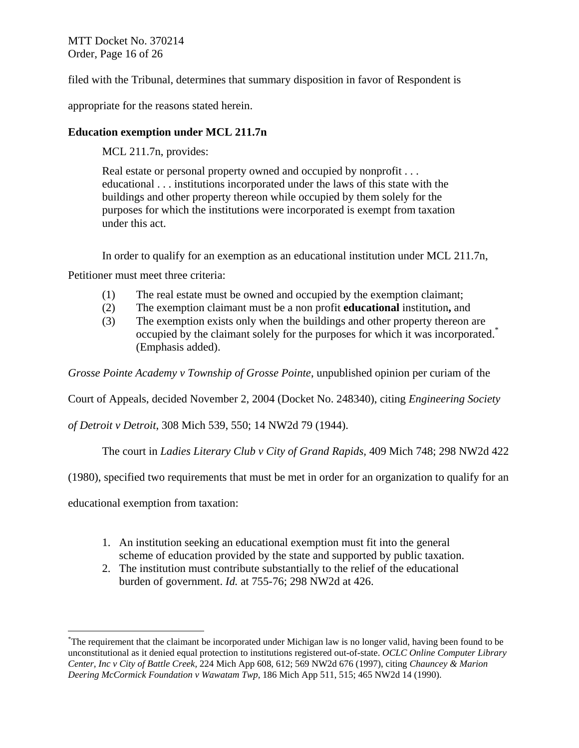MTT Docket No. 370214 Order, Page 16 of 26

filed with the Tribunal, determines that summary disposition in favor of Respondent is

appropriate for the reasons stated herein.

# **Education exemption under MCL 211.7n**

MCL 211.7n, provides:

Real estate or personal property owned and occupied by nonprofit . . . educational . . . institutions incorporated under the laws of this state with the buildings and other property thereon while occupied by them solely for the purposes for which the institutions were incorporated is exempt from taxation under this act.

In order to qualify for an exemption as an educational institution under MCL 211.7n,

Petitioner must meet three criteria:

- (1) The real estate must be owned and occupied by the exemption claimant;
- (2) The exemption claimant must be a non profit **educational** institution**,** and
- (3) The exemption exists only when the buildings and other property thereon are occupied by the claimant solely for the purposes for which it was incorporated.\* (Emphasis added).

*Grosse Pointe Academy v Township of Grosse Pointe*, unpublished opinion per curiam of the

Court of Appeals, decided November 2, 2004 (Docket No. 248340), citing *Engineering Society* 

*of Detroit v Detroit*, 308 Mich 539, 550; 14 NW2d 79 (1944).

The court in *Ladies Literary Club v City of Grand Rapids,* 409 Mich 748; 298 NW2d 422

(1980), specified two requirements that must be met in order for an organization to qualify for an

educational exemption from taxation:

 $\overline{a}$ 

- 1. An institution seeking an educational exemption must fit into the general scheme of education provided by the state and supported by public taxation.
- 2. The institution must contribute substantially to the relief of the educational burden of government. *Id.* at 755-76; 298 NW2d at 426.

<sup>\*</sup> The requirement that the claimant be incorporated under Michigan law is no longer valid, having been found to be unconstitutional as it denied equal protection to institutions registered out-of-state. *OCLC Online Computer Library Center, Inc v City of Battle Creek,* 224 Mich App 608, 612; 569 NW2d 676 (1997), citing *Chauncey & Marion Deering McCormick Foundation v Wawatam Twp,* 186 Mich App 511, 515; 465 NW2d 14 (1990).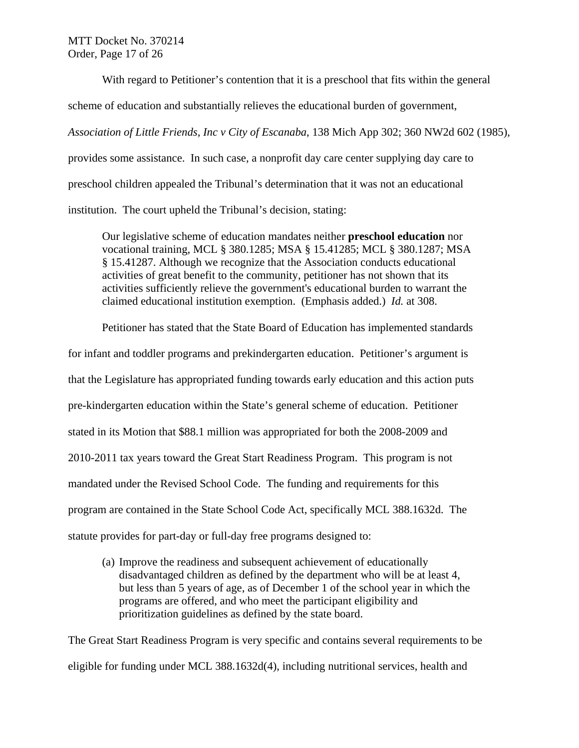With regard to Petitioner's contention that it is a preschool that fits within the general

scheme of education and substantially relieves the educational burden of government,

*Association of Little Friends, Inc v City of Escanaba*, 138 Mich App 302; 360 NW2d 602 (1985),

provides some assistance. In such case, a nonprofit day care center supplying day care to

preschool children appealed the Tribunal's determination that it was not an educational

institution. The court upheld the Tribunal's decision, stating:

 Our legislative scheme of education mandates neither **preschool education** nor vocational training, MCL § 380.1285; MSA § 15.41285; MCL § 380.1287; MSA § 15.41287. Although we recognize that the Association conducts educational activities of great benefit to the community, petitioner has not shown that its activities sufficiently relieve the government's educational burden to warrant the claimed educational institution exemption. (Emphasis added.) *Id.* at 308.

Petitioner has stated that the State Board of Education has implemented standards

for infant and toddler programs and prekindergarten education. Petitioner's argument is

that the Legislature has appropriated funding towards early education and this action puts

pre-kindergarten education within the State's general scheme of education. Petitioner

stated in its Motion that \$88.1 million was appropriated for both the 2008-2009 and

2010-2011 tax years toward the Great Start Readiness Program. This program is not

mandated under the Revised School Code. The funding and requirements for this

program are contained in the State School Code Act, specifically MCL 388.1632d. The

statute provides for part-day or full-day free programs designed to:

(a) Improve the readiness and subsequent achievement of educationally disadvantaged children as defined by the department who will be at least 4, but less than 5 years of age, as of December 1 of the school year in which the programs are offered, and who meet the participant eligibility and prioritization guidelines as defined by the state board.

The Great Start Readiness Program is very specific and contains several requirements to be eligible for funding under MCL 388.1632d(4), including nutritional services, health and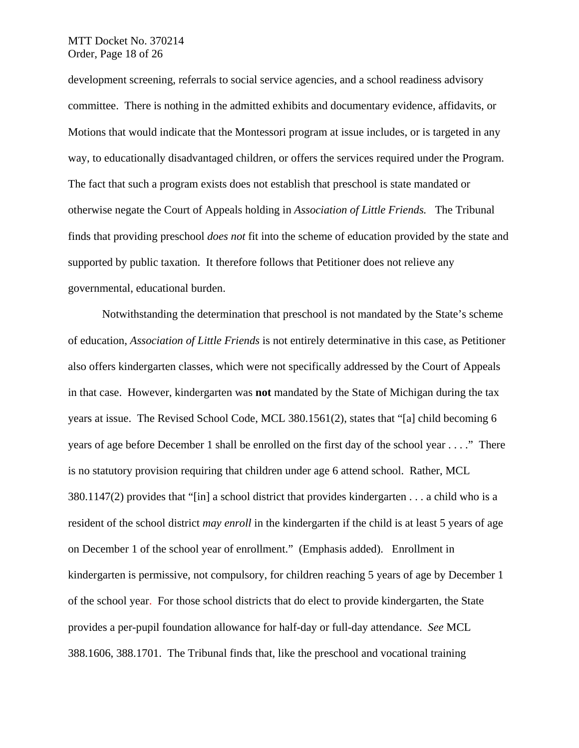## MTT Docket No. 370214 Order, Page 18 of 26

development screening, referrals to social service agencies, and a school readiness advisory committee. There is nothing in the admitted exhibits and documentary evidence, affidavits, or Motions that would indicate that the Montessori program at issue includes, or is targeted in any way, to educationally disadvantaged children, or offers the services required under the Program. The fact that such a program exists does not establish that preschool is state mandated or otherwise negate the Court of Appeals holding in *Association of Little Friends.* The Tribunal finds that providing preschool *does not* fit into the scheme of education provided by the state and supported by public taxation. It therefore follows that Petitioner does not relieve any governmental, educational burden.

Notwithstanding the determination that preschool is not mandated by the State's scheme of education, *Association of Little Friends* is not entirely determinative in this case, as Petitioner also offers kindergarten classes, which were not specifically addressed by the Court of Appeals in that case. However, kindergarten was **not** mandated by the State of Michigan during the tax years at issue. The Revised School Code, MCL 380.1561(2), states that "[a] child becoming 6 years of age before December 1 shall be enrolled on the first day of the school year . . . ." There is no statutory provision requiring that children under age 6 attend school. Rather, MCL 380.1147(2) provides that "[in] a school district that provides kindergarten . . . a child who is a resident of the school district *may enroll* in the kindergarten if the child is at least 5 years of age on December 1 of the school year of enrollment." (Emphasis added). Enrollment in kindergarten is permissive, not compulsory, for children reaching 5 years of age by December 1 of the school year. For those school districts that do elect to provide kindergarten, the State provides a per-pupil foundation allowance for half-day or full-day attendance. *See* MCL 388.1606, 388.1701. The Tribunal finds that, like the preschool and vocational training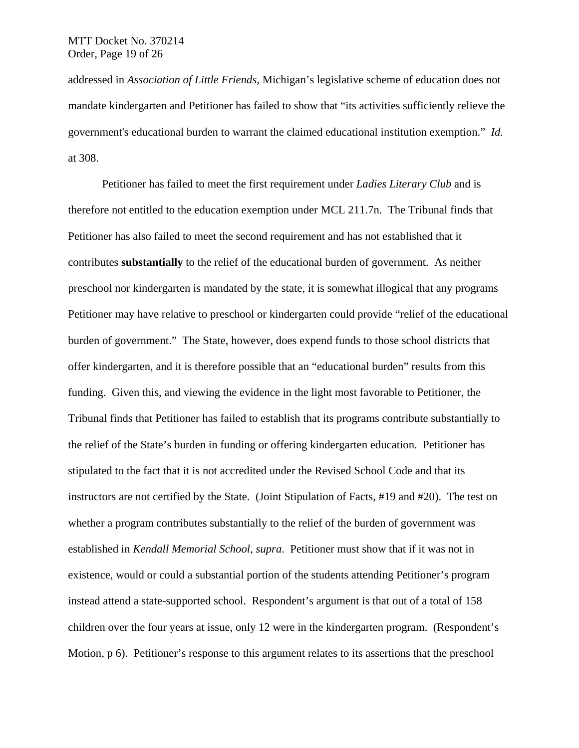addressed in *Association of Little Friends*, Michigan's legislative scheme of education does not mandate kindergarten and Petitioner has failed to show that "its activities sufficiently relieve the government's educational burden to warrant the claimed educational institution exemption." *Id.* at 308.

Petitioner has failed to meet the first requirement under *Ladies Literary Club* and is therefore not entitled to the education exemption under MCL 211.7n. The Tribunal finds that Petitioner has also failed to meet the second requirement and has not established that it contributes **substantially** to the relief of the educational burden of government. As neither preschool nor kindergarten is mandated by the state, it is somewhat illogical that any programs Petitioner may have relative to preschool or kindergarten could provide "relief of the educational burden of government." The State, however, does expend funds to those school districts that offer kindergarten, and it is therefore possible that an "educational burden" results from this funding. Given this, and viewing the evidence in the light most favorable to Petitioner, the Tribunal finds that Petitioner has failed to establish that its programs contribute substantially to the relief of the State's burden in funding or offering kindergarten education. Petitioner has stipulated to the fact that it is not accredited under the Revised School Code and that its instructors are not certified by the State. (Joint Stipulation of Facts, #19 and #20). The test on whether a program contributes substantially to the relief of the burden of government was established in *Kendall Memorial School, supra*. Petitioner must show that if it was not in existence, would or could a substantial portion of the students attending Petitioner's program instead attend a state-supported school. Respondent's argument is that out of a total of 158 children over the four years at issue, only 12 were in the kindergarten program. (Respondent's Motion, p 6). Petitioner's response to this argument relates to its assertions that the preschool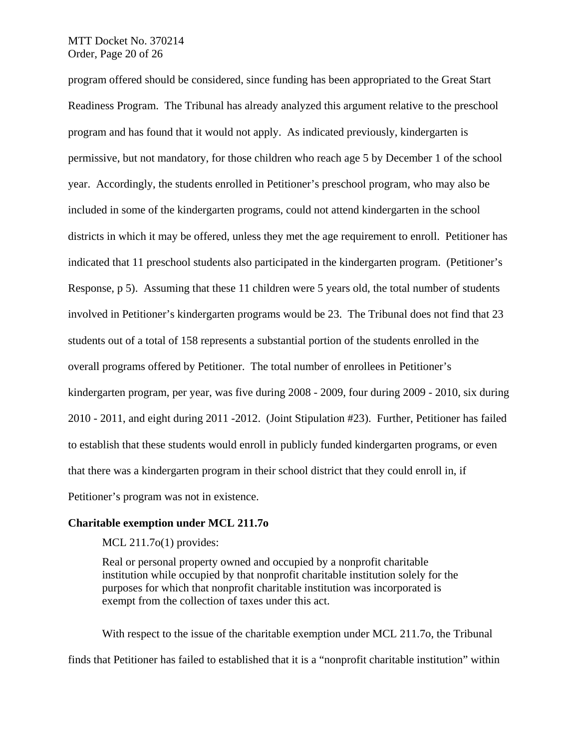## MTT Docket No. 370214 Order, Page 20 of 26

program offered should be considered, since funding has been appropriated to the Great Start Readiness Program. The Tribunal has already analyzed this argument relative to the preschool program and has found that it would not apply. As indicated previously, kindergarten is permissive, but not mandatory, for those children who reach age 5 by December 1 of the school year. Accordingly, the students enrolled in Petitioner's preschool program, who may also be included in some of the kindergarten programs, could not attend kindergarten in the school districts in which it may be offered, unless they met the age requirement to enroll. Petitioner has indicated that 11 preschool students also participated in the kindergarten program. (Petitioner's Response, p 5). Assuming that these 11 children were 5 years old, the total number of students involved in Petitioner's kindergarten programs would be 23. The Tribunal does not find that 23 students out of a total of 158 represents a substantial portion of the students enrolled in the overall programs offered by Petitioner. The total number of enrollees in Petitioner's kindergarten program, per year, was five during 2008 - 2009, four during 2009 - 2010, six during 2010 - 2011, and eight during 2011 -2012. (Joint Stipulation #23). Further, Petitioner has failed to establish that these students would enroll in publicly funded kindergarten programs, or even that there was a kindergarten program in their school district that they could enroll in, if Petitioner's program was not in existence.

#### **Charitable exemption under MCL 211.7o**

MCL 211.7o(1) provides:

Real or personal property owned and occupied by a nonprofit charitable institution while occupied by that nonprofit charitable institution solely for the purposes for which that nonprofit charitable institution was incorporated is exempt from the collection of taxes under this act.

 With respect to the issue of the charitable exemption under MCL 211.7o, the Tribunal finds that Petitioner has failed to established that it is a "nonprofit charitable institution" within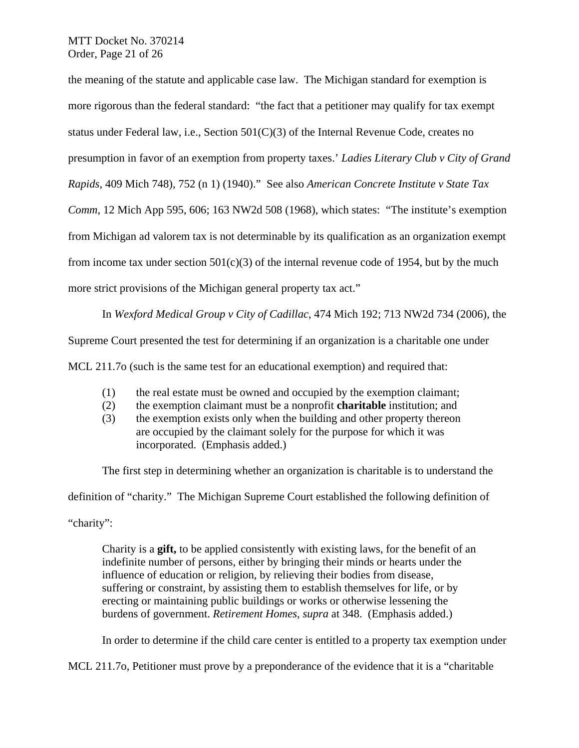MTT Docket No. 370214 Order, Page 21 of 26

the meaning of the statute and applicable case law. The Michigan standard for exemption is more rigorous than the federal standard: "the fact that a petitioner may qualify for tax exempt status under Federal law, i.e., Section  $501(C)(3)$  of the Internal Revenue Code, creates no presumption in favor of an exemption from property taxes.' *Ladies Literary Club v City of Grand Rapids*, 409 Mich 748), 752 (n 1) (1940)." See also *American Concrete Institute v State Tax Comm*, 12 Mich App 595, 606; 163 NW2d 508 (1968), which states: "The institute's exemption from Michigan ad valorem tax is not determinable by its qualification as an organization exempt from income tax under section  $501(c)(3)$  of the internal revenue code of 1954, but by the much more strict provisions of the Michigan general property tax act."

 In *Wexford Medical Group v City of Cadillac*, 474 Mich 192; 713 NW2d 734 (2006), the Supreme Court presented the test for determining if an organization is a charitable one under MCL 211.7o (such is the same test for an educational exemption) and required that:

- (1) the real estate must be owned and occupied by the exemption claimant;
- (2) the exemption claimant must be a nonprofit **charitable** institution; and
- (3) the exemption exists only when the building and other property thereon are occupied by the claimant solely for the purpose for which it was incorporated. (Emphasis added.)

The first step in determining whether an organization is charitable is to understand the definition of "charity." The Michigan Supreme Court established the following definition of "charity":

Charity is a **gift,** to be applied consistently with existing laws, for the benefit of an indefinite number of persons, either by bringing their minds or hearts under the influence of education or religion, by relieving their bodies from disease, suffering or constraint, by assisting them to establish themselves for life, or by erecting or maintaining public buildings or works or otherwise lessening the burdens of government. *Retirement Homes, supra* at 348. (Emphasis added.)

In order to determine if the child care center is entitled to a property tax exemption under

MCL 211.7o, Petitioner must prove by a preponderance of the evidence that it is a "charitable"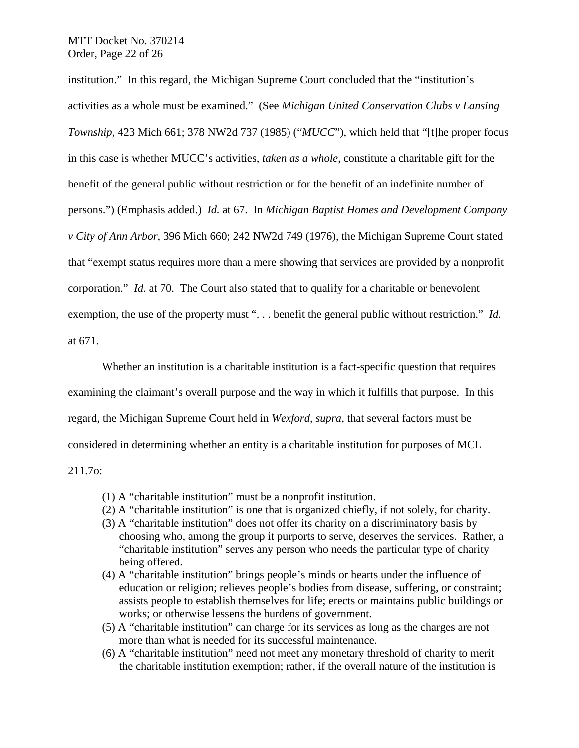institution." In this regard, the Michigan Supreme Court concluded that the "institution's activities as a whole must be examined." (See *Michigan United Conservation Clubs v Lansing Township*, 423 Mich 661; 378 NW2d 737 (1985) ("*MUCC*"), which held that "[t]he proper focus in this case is whether MUCC's activities, *taken as a whole*, constitute a charitable gift for the benefit of the general public without restriction or for the benefit of an indefinite number of persons.") (Emphasis added.) *Id.* at 67.In *Michigan Baptist Homes and Development Company v City of Ann Arbor*, 396 Mich 660; 242 NW2d 749 (1976), the Michigan Supreme Court stated that "exempt status requires more than a mere showing that services are provided by a nonprofit corporation." *Id.* at 70. The Court also stated that to qualify for a charitable or benevolent exemption, the use of the property must ". . . benefit the general public without restriction." *Id.* at 671.

Whether an institution is a charitable institution is a fact-specific question that requires examining the claimant's overall purpose and the way in which it fulfills that purpose. In this regard, the Michigan Supreme Court held in *Wexford, supra,* that several factors must be considered in determining whether an entity is a charitable institution for purposes of MCL 211.7o:

(1) A "charitable institution" must be a nonprofit institution.

- (2) A "charitable institution" is one that is organized chiefly, if not solely, for charity.
- (3) A "charitable institution" does not offer its charity on a discriminatory basis by choosing who, among the group it purports to serve, deserves the services. Rather, a "charitable institution" serves any person who needs the particular type of charity being offered.
- (4) A "charitable institution" brings people's minds or hearts under the influence of education or religion; relieves people's bodies from disease, suffering, or constraint; assists people to establish themselves for life; erects or maintains public buildings or works; or otherwise lessens the burdens of government.
- (5) A "charitable institution" can charge for its services as long as the charges are not more than what is needed for its successful maintenance.
- (6) A "charitable institution" need not meet any monetary threshold of charity to merit the charitable institution exemption; rather, if the overall nature of the institution is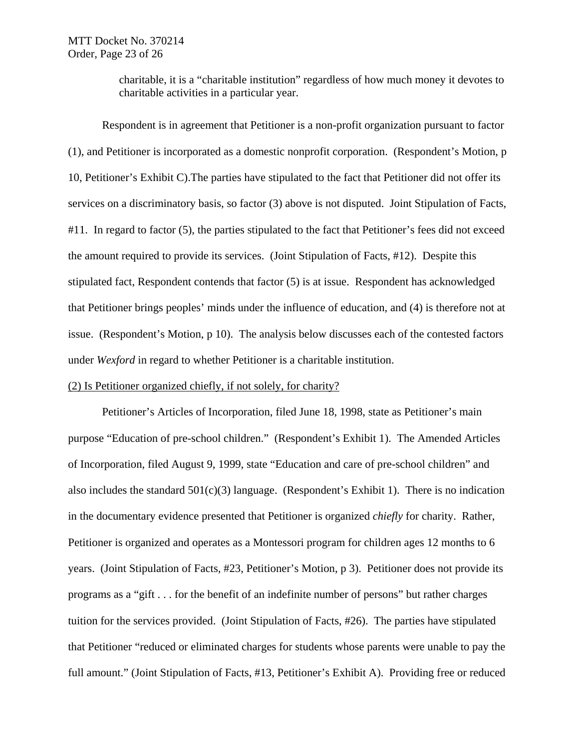charitable, it is a "charitable institution" regardless of how much money it devotes to charitable activities in a particular year.

Respondent is in agreement that Petitioner is a non-profit organization pursuant to factor (1), and Petitioner is incorporated as a domestic nonprofit corporation. (Respondent's Motion, p 10, Petitioner's Exhibit C).The parties have stipulated to the fact that Petitioner did not offer its services on a discriminatory basis, so factor (3) above is not disputed. Joint Stipulation of Facts, #11. In regard to factor (5), the parties stipulated to the fact that Petitioner's fees did not exceed the amount required to provide its services. (Joint Stipulation of Facts, #12). Despite this stipulated fact, Respondent contends that factor (5) is at issue. Respondent has acknowledged that Petitioner brings peoples' minds under the influence of education, and (4) is therefore not at issue. (Respondent's Motion, p 10). The analysis below discusses each of the contested factors under *Wexford* in regard to whether Petitioner is a charitable institution.

#### (2) Is Petitioner organized chiefly, if not solely, for charity?

Petitioner's Articles of Incorporation, filed June 18, 1998, state as Petitioner's main purpose "Education of pre-school children." (Respondent's Exhibit 1). The Amended Articles of Incorporation, filed August 9, 1999, state "Education and care of pre-school children" and also includes the standard  $501(c)(3)$  language. (Respondent's Exhibit 1). There is no indication in the documentary evidence presented that Petitioner is organized *chiefly* for charity. Rather, Petitioner is organized and operates as a Montessori program for children ages 12 months to 6 years. (Joint Stipulation of Facts, #23, Petitioner's Motion, p 3). Petitioner does not provide its programs as a "gift . . . for the benefit of an indefinite number of persons" but rather charges tuition for the services provided. (Joint Stipulation of Facts, #26). The parties have stipulated that Petitioner "reduced or eliminated charges for students whose parents were unable to pay the full amount." (Joint Stipulation of Facts, #13, Petitioner's Exhibit A). Providing free or reduced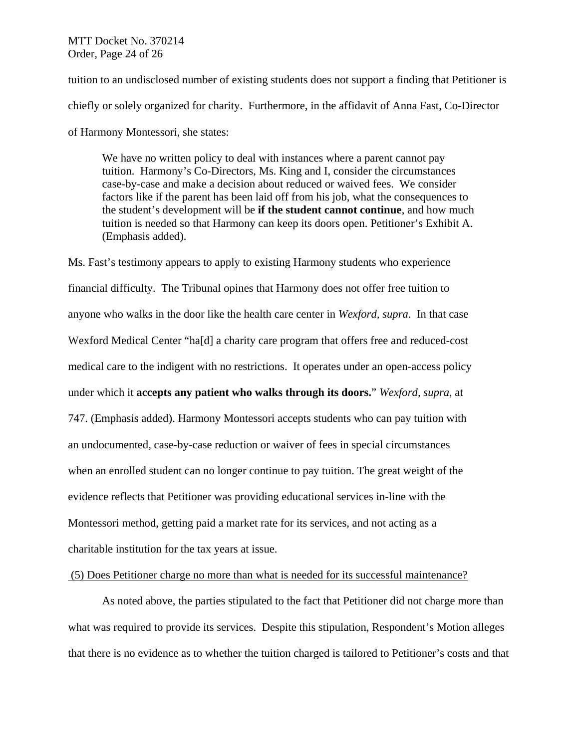MTT Docket No. 370214 Order, Page 24 of 26

tuition to an undisclosed number of existing students does not support a finding that Petitioner is chiefly or solely organized for charity. Furthermore, in the affidavit of Anna Fast, Co-Director of Harmony Montessori, she states:

We have no written policy to deal with instances where a parent cannot pay tuition. Harmony's Co-Directors, Ms. King and I, consider the circumstances case-by-case and make a decision about reduced or waived fees. We consider factors like if the parent has been laid off from his job, what the consequences to the student's development will be **if the student cannot continue**, and how much tuition is needed so that Harmony can keep its doors open. Petitioner's Exhibit A. (Emphasis added).

Ms. Fast's testimony appears to apply to existing Harmony students who experience financial difficulty. The Tribunal opines that Harmony does not offer free tuition to anyone who walks in the door like the health care center in *Wexford, supra*. In that case Wexford Medical Center "ha[d] a charity care program that offers free and reduced-cost medical care to the indigent with no restrictions. It operates under an open-access policy under which it **accepts any patient who walks through its doors.**" *Wexford, supra*, at 747. (Emphasis added). Harmony Montessori accepts students who can pay tuition with an undocumented, case-by-case reduction or waiver of fees in special circumstances when an enrolled student can no longer continue to pay tuition. The great weight of the evidence reflects that Petitioner was providing educational services in-line with the Montessori method, getting paid a market rate for its services, and not acting as a charitable institution for the tax years at issue.

#### (5) Does Petitioner charge no more than what is needed for its successful maintenance?

 As noted above, the parties stipulated to the fact that Petitioner did not charge more than what was required to provide its services. Despite this stipulation, Respondent's Motion alleges that there is no evidence as to whether the tuition charged is tailored to Petitioner's costs and that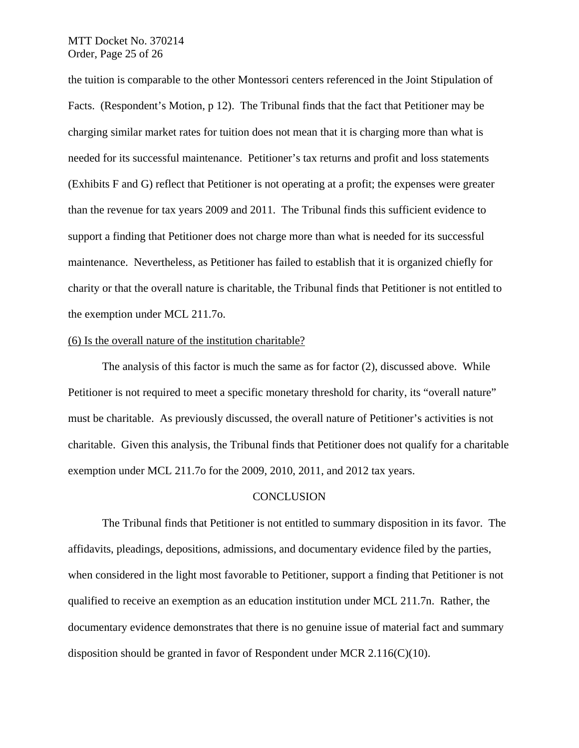## MTT Docket No. 370214 Order, Page 25 of 26

the tuition is comparable to the other Montessori centers referenced in the Joint Stipulation of Facts. (Respondent's Motion, p 12). The Tribunal finds that the fact that Petitioner may be charging similar market rates for tuition does not mean that it is charging more than what is needed for its successful maintenance. Petitioner's tax returns and profit and loss statements (Exhibits F and G) reflect that Petitioner is not operating at a profit; the expenses were greater than the revenue for tax years 2009 and 2011. The Tribunal finds this sufficient evidence to support a finding that Petitioner does not charge more than what is needed for its successful maintenance. Nevertheless, as Petitioner has failed to establish that it is organized chiefly for charity or that the overall nature is charitable, the Tribunal finds that Petitioner is not entitled to the exemption under MCL 211.7o.

#### (6) Is the overall nature of the institution charitable?

 The analysis of this factor is much the same as for factor (2), discussed above. While Petitioner is not required to meet a specific monetary threshold for charity, its "overall nature" must be charitable. As previously discussed, the overall nature of Petitioner's activities is not charitable. Given this analysis, the Tribunal finds that Petitioner does not qualify for a charitable exemption under MCL 211.7o for the 2009, 2010, 2011, and 2012 tax years.

#### **CONCLUSION**

The Tribunal finds that Petitioner is not entitled to summary disposition in its favor. The affidavits, pleadings, depositions, admissions, and documentary evidence filed by the parties, when considered in the light most favorable to Petitioner, support a finding that Petitioner is not qualified to receive an exemption as an education institution under MCL 211.7n. Rather, the documentary evidence demonstrates that there is no genuine issue of material fact and summary disposition should be granted in favor of Respondent under MCR  $2.116(C)(10)$ .